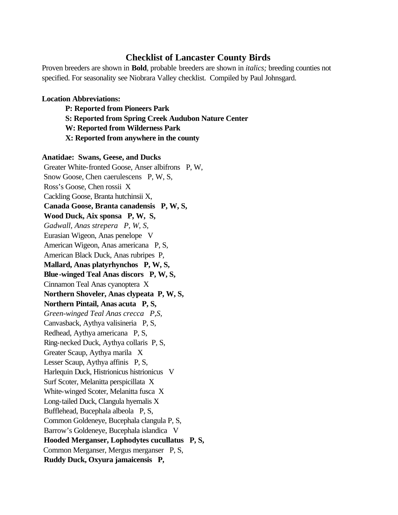# **Checklist of Lancaster County Birds**

Proven breeders are shown in **Bold**, probable breeders are shown in *italics;* breeding counties not specified. For seasonality see Niobrara Valley checklist. Compiled by Paul Johnsgard.

## **Location Abbreviations:**

**P: Reported from Pioneers Park S: Reported from Spring Creek Audubon Nature Center W: Reported from Wilderness Park X: Reported from anywhere in the county**

**Anatidae: Swans, Geese, and Ducks** Greater White-fronted Goose, Anser albifrons P, W, Snow Goose, Chen caerulescens P, W, S, Ross's Goose, Chen rossii X Cackling Goose, Branta hutchinsii X,  **Canada Goose, Branta canadensis P, W, S, Wood Duck, Aix sponsa P, W, S,**  *Gadwall, Anas strepera P, W, S,* Eurasian Wigeon, Anas penelope V American Wigeon, Anas americana P, S, American Black Duck, Anas rubripes P,  **Mallard, Anas platyrhynchos P, W, S, Blue-winged Teal Anas discors P, W, S,** Cinnamon Teal Anas cyanoptera X  **Northern Shoveler, Anas clypeata P, W, S, Northern Pintail, Anas acuta P, S,**  *Green-winged Teal Anas crecca P,S,*  Canvasback, Aythya valisineria P, S, Redhead, Aythya americana P, S, Ring-necked Duck, Aythya collaris P, S, Greater Scaup, Aythya marila X Lesser Scaup, Aythya affinis P, S, Harlequin Duck, Histrionicus histrionicus V Surf Scoter, Melanitta perspicillata X White-winged Scoter, Melanitta fusca X Long-tailed Duck, Clangula hyemalis X Bufflehead, Bucephala albeola P, S, Common Goldeneye, Bucephala clangula P, S, Barrow's Goldeneye, Bucephala islandica V  **Hooded Merganser, Lophodytes cucullatus P, S,** Common Merganser, Mergus merganser P, S,  **Ruddy Duck, Oxyura jamaicensis P,**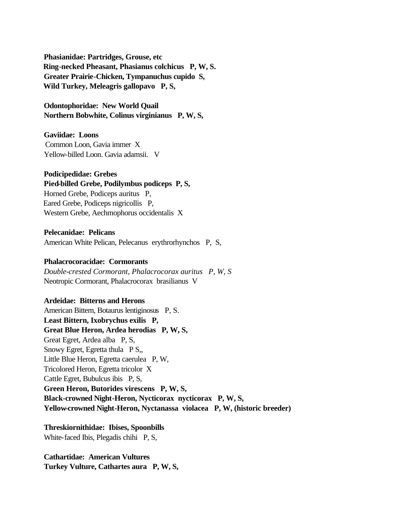**Phasianidae: Partridges, Grouse, etc Ring-necked Pheasant, Phasianus colchicus P, W, S. Greater Prairie-Chicken, Tympanuchus cupido S, Wild Turkey, Meleagris gallopavo P, S,**

 **Odontophoridae: New World Quail Northern Bobwhite, Colinus virginianus P, W, S,**

## **Gaviidae: Loons**

 Common Loon, Gavia immer X Yellow-billed Loon. Gavia adamsii. V

## **Podicipedidae: Grebes**

 **Pied-billed Grebe, Podilymbus podiceps P, S,** Horned Grebe, Podiceps auritus P, Eared Grebe, Podiceps nigricollis P,

Western Grebe, Aechmophorus occidentalis X

 **Pelecanidae: Pelicans** American White Pelican, Pelecanus erythrorhynchos P, S,

## **Phalacrocoracidae: Cormorants**

 *Double-crested Cormorant, Phalacrocorax auritus P, W, S* Neotropic Cormorant, Phalacrocorax brasilianus V

# **Ardeidae: Bitterns and Herons**

 American Bittern, Botaurus lentiginosus P, S.  **Least Bittern, Ixobrychus exilis P, Great Blue Heron, Ardea herodias P, W, S,** Great Egret, Ardea alba P, S, Snowy Egret, Egretta thula P S,, Little Blue Heron, Egretta caerulea P, W, Tricolored Heron, Egretta tricolor X Cattle Egret, Bubulcus ibis P, S,  **Green Heron, Butorides virescens P, W, S, Black-crowned Night-Heron, Nycticorax nycticorax P, W, S, Yellow-crowned Night-Heron, Nyctanassa violacea P, W, (historic breeder)**

 **Threskiornithidae: Ibises, Spoonbills** White-faced Ibis, Plegadis chihi P, S,

 **Cathartidae: American Vultures Turkey Vulture, Cathartes aura P, W, S,**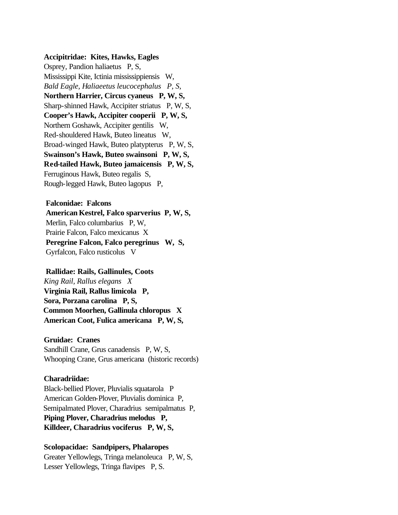## **Accipitridae: Kites, Hawks, Eagles**

 Osprey, Pandion haliaetus P, S, Mississippi Kite, Ictinia mississippiensis W,  *Bald Eagle, Haliaeetus leucocephalus P, S,*  **Northern Harrier, Circus cyaneus P, W, S,** Sharp-shinned Hawk, Accipiter striatus P, W, S,  **Cooper's Hawk, Accipiter cooperii P, W, S,** Northern Goshawk, Accipiter gentilis W, Red-shouldered Hawk, Buteo lineatus W, Broad-winged Hawk, Buteo platypterus P, W, S,  **Swainson's Hawk, Buteo swainsoni P, W, S, Red-tailed Hawk, Buteo jamaicensis P, W, S,** Ferruginous Hawk, Buteo regalis S, Rough-legged Hawk, Buteo lagopus P,

## **Falconidae: Falcons**

 **American Kestrel, Falco sparverius P, W, S,**  Merlin, Falco columbarius P, W, Prairie Falcon, Falco mexicanus X  **Peregrine Falcon, Falco peregrinus W, S,** Gyrfalcon, Falco rusticolus V

#### **Rallidae: Rails, Gallinules, Coots**

 *King Rail, Rallus elegans X*  **Virginia Rail, Rallus limicola P, Sora, Porzana carolina P, S, Common Moorhen, Gallinula chloropus X American Coot, Fulica americana P, W, S,**

#### **Gruidae: Cranes**

 Sandhill Crane, Grus canadensis P, W, S, Whooping Crane, Grus americana (historic records)

#### **Charadriidae:**

 Black-bellied Plover, Pluvialis squatarola P American Golden-Plover, Pluvialis dominica P, Semipalmated Plover, Charadrius semipalmatus P,  **Piping Plover, Charadrius melodus P, Killdeer, Charadrius vociferus P, W, S,**

# **Scolopacidae: Sandpipers, Phalaropes**

 Greater Yellowlegs, Tringa melanoleuca P, W, S, Lesser Yellowlegs, Tringa flavipes P, S.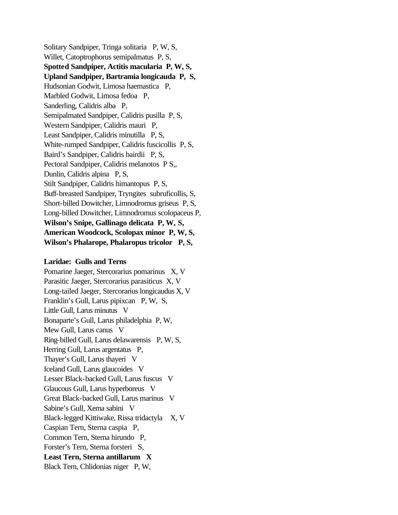Solitary Sandpiper, Tringa solitaria P, W, S, Willet, Catoptrophorus semipalmatus P, S,  **Spotted Sandpiper, Actitis macularia P, W, S, Upland Sandpiper, Bartramia longicauda P, S,**  Hudsonian Godwit, Limosa haemastica P, Marbled Godwit, Limosa fedoa P, Sanderling, Calidris alba P, Semipalmated Sandpiper, Calidris pusilla P, S, Western Sandpiper, Calidris mauri P, Least Sandpiper, Calidris minutilla P, S, White-rumped Sandpiper, Calidris fuscicollis P, S, Baird's Sandpiper, Calidris bairdii P, S, Pectoral Sandpiper, Calidris melanotos P S,, Dunlin, Calidris alpina P, S, Stilt Sandpiper, Calidris himantopus P, S, Buff-breasted Sandpiper, Tryngites subruficollis, S, Short-billed Dowitcher, Limnodromus griseus P, S, Long-billed Dowitcher, Limnodromus scolopaceus P,  **Wilson's Snipe, Gallinago delicata P, W, S, American Woodcock, Scolopax minor P, W, S, Wilson's Phalarope, Phalaropus tricolor P, S,** 

## **Laridae: Gulls and Terns**

 Pomarine Jaeger, Stercorarius pomarinus X, V Parasitic Jaeger, Stercorarius parasiticus X, V Long-tailed Jaeger, Stercorarius longicaudus X, V Franklin's Gull, Larus pipixcan P, W, S, Little Gull, Larus minutus V Bonaparte's Gull, Larus philadelphia P, W, Mew Gull, Larus canus V Ring-billed Gull, Larus delawarensis P, W, S, Herring Gull, Larus argentatus P, Thayer's Gull, Larus thayeri V Iceland Gull, Larus glaucoides V Lesser Black-backed Gull, Larus fuscus V Glaucous Gull, Larus hyperboreus V Great Black-backed Gull, Larus marinus V Sabine's Gull, Xema sabini V Black-legged Kittiwake, Rissa tridactyla X, V Caspian Tern, Sterna caspia P, Common Tern, Sterna hirundo P, Forster's Tern, Sterna forsteri S,  **Least Tern, Sterna antillarum X** Black Tern, Chlidonias niger P, W,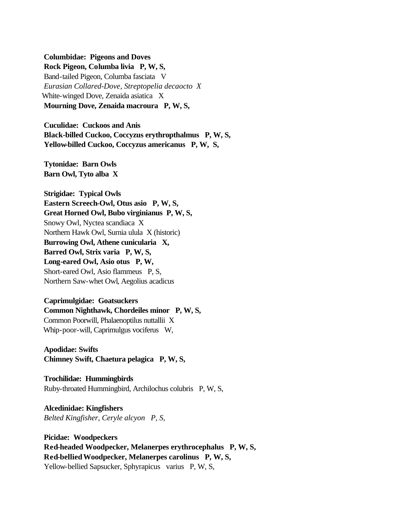#### **Columbidae: Pigeons and Doves**

 **Rock Pigeon, Columba livia P, W, S,** Band-tailed Pigeon, Columba fasciata V  *Eurasian Collared-Dove, Streptopelia decaocto X*  White-winged Dove, Zenaida asiatica X  **Mourning Dove, Zenaida macroura P, W, S,** 

 **Cuculidae: Cuckoos and Anis Black-billed Cuckoo, Coccyzus erythropthalmus P, W, S, Yellow-billed Cuckoo, Coccyzus americanus P, W, S,**

 **Tytonidae: Barn Owls Barn Owl, Tyto alba X** 

 **Strigidae: Typical Owls Eastern Screech-Owl, Otus asio P, W, S, Great Horned Owl, Bubo virginianus P, W, S,** Snowy Owl, Nyctea scandiaca X Northern Hawk Owl, Surnia ulula X (historic)  **Burrowing Owl, Athene cunicularia X, Barred Owl, Strix varia P, W, S, Long-eared Owl, Asio otus P, W,**  Short-eared Owl, Asio flammeus P, S, Northern Saw-whet Owl, Aegolius acadicus

 **Caprimulgidae: Goatsuckers Common Nighthawk, Chordeiles minor P, W, S,** Common Poorwill, Phalaenoptilus nuttallii X Whip-poor-will, Caprimulgus vociferus W,

 **Apodidae: Swifts Chimney Swift, Chaetura pelagica P, W, S,**

 **Trochilidae: Hummingbirds** Ruby-throated Hummingbird, Archilochus colubris P, W, S,

 **Alcedinidae: Kingfishers**  *Belted Kingfisher, Ceryle alcyon P, S,*

 **Picidae: Woodpeckers Red-headed Woodpecker, Melanerpes erythrocephalus P, W, S, Red-bellied Woodpecker, Melanerpes carolinus P, W, S,**  Yellow-bellied Sapsucker, Sphyrapicus varius P, W, S,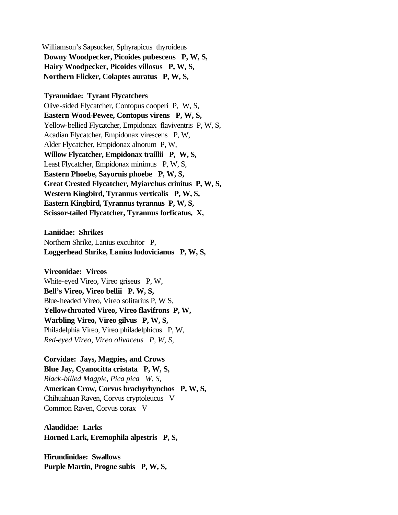Williamson's Sapsucker, Sphyrapicus thyroideus  **Downy Woodpecker, Picoides pubescens P, W, S, Hairy Woodpecker, Picoides villosus P, W, S, Northern Flicker, Colaptes auratus P, W, S,**

 **Tyrannidae: Tyrant Flycatchers**

 Olive-sided Flycatcher, Contopus cooperi P, W, S,  **Eastern Wood-Pewee, Contopus virens P, W, S,** Yellow-bellied Flycatcher, Empidonax flaviventris P, W, S, Acadian Flycatcher, Empidonax virescens P, W, Alder Flycatcher, Empidonax alnorum P, W,  **Willow Flycatcher, Empidonax traillii P, W, S,** Least Flycatcher, Empidonax minimus P, W, S,  **Eastern Phoebe, Sayornis phoebe P, W, S, Great Crested Flycatcher, Myiarchus crinitus P, W, S, Western Kingbird, Tyrannus verticalis P, W, S, Eastern Kingbird, Tyrannus tyrannus P, W, S, Scissor-tailed Flycatcher, Tyrannus forficatus, X,**

 **Laniidae: Shrikes** Northern Shrike, Lanius excubitor P,  **Loggerhead Shrike, Lanius ludovicianus P, W, S,**

 **Vireonidae: Vireos** White-eyed Vireo, Vireo griseus P, W,  **Bell's Vireo, Vireo bellii P. W, S,** Blue-headed Vireo, Vireo solitarius P, W S,  **Yellow-throated Vireo, Vireo flavifrons P, W, Warbling Vireo, Vireo gilvus P, W, S,** Philadelphia Vireo, Vireo philadelphicus P, W,  *Red-eyed Vireo, Vireo olivaceus P, W, S,*

 **Corvidae: Jays, Magpies, and Crows Blue Jay, Cyanocitta cristata P, W, S,**  *Black-billed Magpie, Pica pica W, S,*  **American Crow, Corvus brachyrhynchos P, W, S,** Chihuahuan Raven, Corvus cryptoleucus V Common Raven, Corvus corax V

 **Alaudidae: Larks Horned Lark, Eremophila alpestris P, S,**

 **Hirundinidae: Swallows Purple Martin, Progne subis P, W, S,**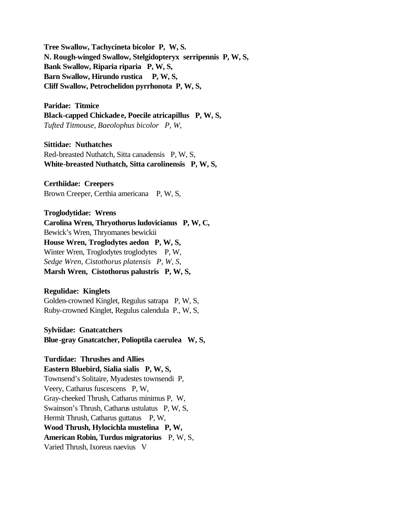**Tree Swallow, Tachycineta bicolor P, W, S. N. Rough-winged Swallow, Stelgidopteryx serripennis P, W, S, Bank Swallow, Riparia riparia P, W, S, Barn Swallow, Hirundo rustica P, W, S, Cliff Swallow, Petrochelidon pyrrhonota P, W, S,**

 **Paridae: Titmice Black-capped Chickadee, Poecile atricapillus P, W, S,**  *Tufted Titmouse, Baeolophus bicolor P, W,* 

 **Sittidae: Nuthatches** Red-breasted Nuthatch, Sitta canadensis P, W, S,  **White-breasted Nuthatch, Sitta carolinensis P, W, S,**

 **Certhiidae: Creepers** Brown Creeper, Certhia americana P, W, S,

 **Troglodytidae: Wrens Carolina Wren, Thryothorus ludovicianus P, W, C,** Bewick's Wren, Thryomanes bewickii  **House Wren, Troglodytes aedon P, W, S,** Winter Wren, Troglodytes troglodytes P, W,  *Sedge Wren, Cistothorus platensis P, W, S,*  **Marsh Wren, Cistothorus palustris P, W, S,**

# **Regulidae: Kinglets**

 Golden-crowned Kinglet, Regulus satrapa P, W, S, Ruby-crowned Kinglet, Regulus calendula P., W, S,

 **Sylviidae: Gnatcatchers Blue-gray Gnatcatcher, Polioptila caerulea W, S,**

 **Turdidae: Thrushes and Allies Eastern Bluebird, Sialia sialis P, W, S,** Townsend's Solitaire, Myadestes townsendi P, Veery, Catharus fuscescens P, W, Gray-cheeked Thrush, Catharus minimus P, W, Swainson's Thrush, Catharus ustulatus P, W, S, Hermit Thrush, Catharus guttatus P, W,  **Wood Thrush, Hylocichla mustelina P, W, American Robin, Turdus migratorius** P, W, S, Varied Thrush, Ixoreus naevius V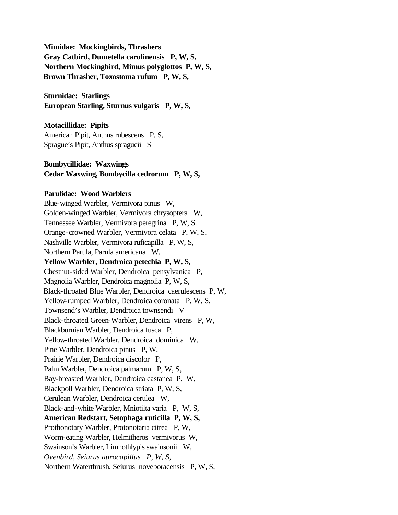**Mimidae: Mockingbirds, Thrashers Gray Catbird, Dumetella carolinensis P, W, S, Northern Mockingbird, Mimus polyglottos P, W, S, Brown Thrasher, Toxostoma rufum P, W, S,**

 **Sturnidae: Starlings European Starling, Sturnus vulgaris P, W, S,**

# **Motacillidae: Pipits**

 American Pipit, Anthus rubescens P, S, Sprague's Pipit, Anthus spragueii S

# **Bombycillidae: Waxwings Cedar Waxwing, Bombycilla cedrorum P, W, S,**

## **Parulidae: Wood Warblers**

 Blue-winged Warbler, Vermivora pinus W, Golden-winged Warbler, Vermivora chrysoptera W, Tennessee Warbler, Vermivora peregrina P, W, S. Orange-crowned Warbler, Vermivora celata P, W, S, Nashville Warbler, Vermivora ruficapilla P, W, S, Northern Parula, Parula americana W,  **Yellow Warbler, Dendroica petechia P, W, S,** Chestnut-sided Warbler, Dendroica pensylvanica P, Magnolia Warbler, Dendroica magnolia P, W, S, Black-throated Blue Warbler, Dendroica caerulescens P, W, Yellow-rumped Warbler, Dendroica coronata P, W, S, Townsend's Warbler, Dendroica townsendi V Black-throated Green-Warbler, Dendroica virens P, W, Blackburnian Warbler, Dendroica fusca P, Yellow-throated Warbler, Dendroica dominica W, Pine Warbler, Dendroica pinus P, W, Prairie Warbler, Dendroica discolor P, Palm Warbler, Dendroica palmarum P, W, S, Bay-breasted Warbler, Dendroica castanea P, W, Blackpoll Warbler, Dendroica striata P, W, S, Cerulean Warbler, Dendroica cerulea W, Black-and-white Warbler, Mniotilta varia P, W, S,  **American Redstart, Setophaga ruticilla P, W, S,**  Prothonotary Warbler, Protonotaria citrea P, W, Worm-eating Warbler, Helmitheros vermivorus W, Swainson's Warbler, Limnothlypis swainsonii W,  *Ovenbird, Seiurus aurocapillus P, W, S,* Northern Waterthrush, Seiurus noveboracensis P, W, S,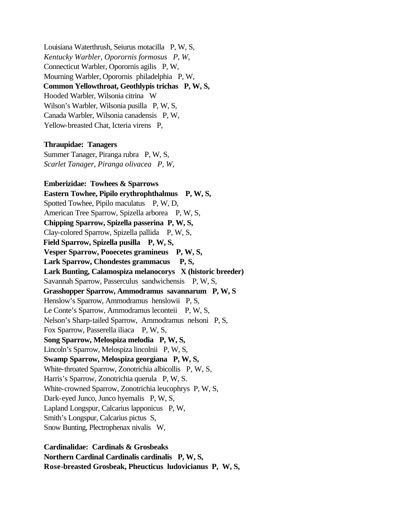Louisiana Waterthrush, Seiurus motacilla P, W, S,  *Kentucky Warbler, Oporornis formosus P, W,*  Connecticut Warbler, Oporornis agilis P, W, Mourning Warbler, Oporornis philadelphia P, W, **Common Yellowthroat, Geothlypis trichas P, W, S,** Hooded Warbler, Wilsonia citrina W Wilson's Warbler, Wilsonia pusilla P, W, S, Canada Warbler, Wilsonia canadensis P, W, Yellow-breasted Chat, Icteria virens P,

#### **Thraupidae: Tanagers**

 Summer Tanager, Piranga rubra P, W, S,  *Scarlet Tanager, Piranga olivacea P, W,* 

 **Emberizidae: Towhees & Sparrows Eastern Towhee, Pipilo erythrophthalmus P, W, S,** Spotted Towhee, Pipilo maculatus P, W, D, American Tree Sparrow, Spizella arborea P, W, S,  **Chipping Sparrow, Spizella passerina P, W, S,** Clay-colored Sparrow, Spizella pallida P, W, S, **Field Sparrow, Spizella pusilla P, W, S, Vesper Sparrow, Pooecetes gramineus P, W, S, Lark Sparrow, Chondestes grammacus P, S, Lark Bunting, Calamospiza melanocorys X (historic breeder)** Savannah Sparrow, Passerculus sandwichensis P, W, S, **Grasshopper Sparrow, Ammodramus savannarum P, W, S**  Henslow's Sparrow, Ammodramus henslowii P, S, Le Conte's Sparrow, Ammodramus leconteii P, W, S, Nelson's Sharp-tailed Sparrow, Ammodramus nelsoni P, S, Fox Sparrow, Passerella iliaca P, W, S,  **Song Sparrow, Melospiza melodia P, W, S,** Lincoln's Sparrow, Melospiza lincolnii P, W, S,  **Swamp Sparrow, Melospiza georgiana P, W, S,**  White-throated Sparrow, Zonotrichia albicollis P, W, S, Harris's Sparrow, Zonotrichia querula P, W, S. White-crowned Sparrow, Zonotrichia leucophrys P, W, S, Dark-eyed Junco, Junco hyemalis P, W, S, Lapland Longspur, Calcarius lapponicus P, W, Smith's Longspur, Calcarius pictus S, Snow Bunting, Plectrophenax nivalis W,

 **Cardinalidae: Cardinals & Grosbeaks Northern Cardinal Cardinalis cardinalis P, W, S, Rose-breasted Grosbeak, Pheucticus ludovicianus P, W, S,**